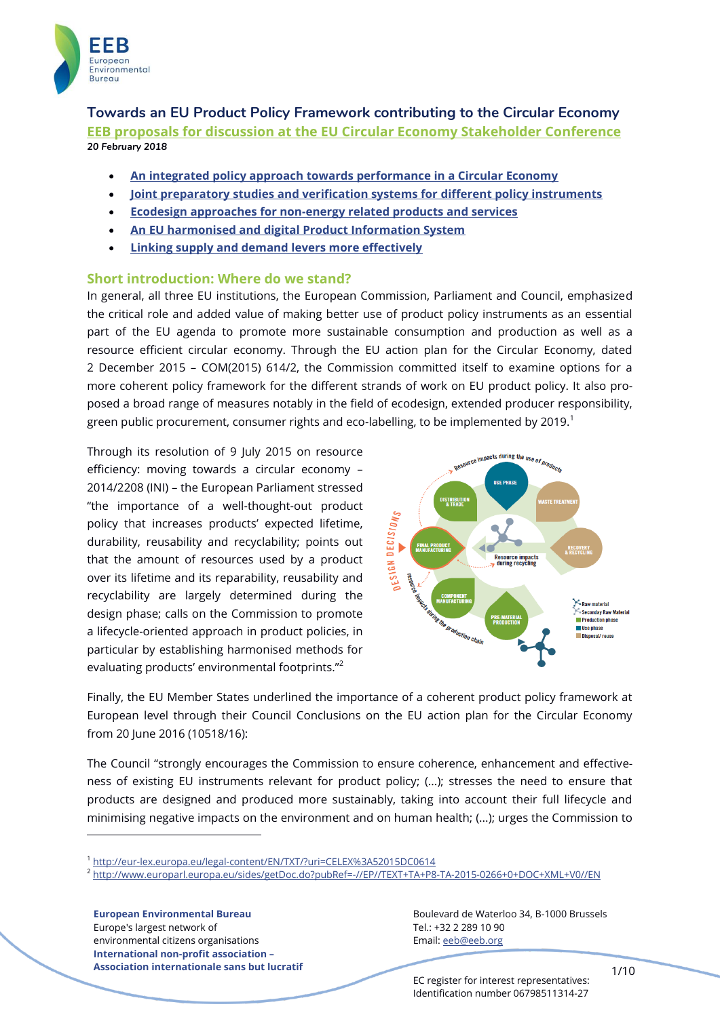

**Towards an EU Product Policy Framework contributing to the Circular Economy [EEB proposals for discussion at the EU Circular Economy Stakeholder Conference](#page-9-0)** *20 February 2018*

- **[An integrated policy approach towards performance in a Circular Economy](#page-2-0)**
- **[Joint preparatory studies and verification systems for different policy instruments](#page-4-0)**
- **[Ecodesign approaches for non-energy related products](#page-6-0) and services**
- **[An EU harmonised and digital Product Information System](#page-6-1)**
- **[Linking supply and demand levers more effectively](#page-8-0)**

### **Short introduction: Where do we stand?**

In general, all three EU institutions, the European Commission, Parliament and Council, emphasized the critical role and added value of making better use of product policy instruments as an essential part of the EU agenda to promote more sustainable consumption and production as well as a resource efficient circular economy. Through the EU action plan for the Circular Economy, dated 2 December 2015 – COM(2015) 614/2, the Commission committed itself to examine options for a more coherent policy framework for the different strands of work on EU product policy. It also proposed a broad range of measures notably in the field of ecodesign, extended producer responsibility, green public procurement, consumer rights and eco-labelling, to be implemented by 2019.<sup>1</sup>

"the importance of a well-thought-out product Through its resolution of 9 July 2015 on resource efficiency: moving towards a circular economy – 2014/2208 (INI) – the European Parliament stressed policy that increases products' expected lifetime, durability, reusability and recyclability; points out that the amount of resources used by a product over its lifetime and its reparability, reusability and recyclability are largely determined during the design phase; calls on the Commission to promote a lifecycle-oriented approach in product policies, in particular by establishing harmonised methods for evaluating products' environmental footprints."<sup>2</sup>



Finally, the EU Member States underlined the importance of a coherent product policy framework at European level through their Council Conclusions on the EU action plan for the Circular Economy from 20 June 2016 (10518/16):

The Council "strongly encourages the Commission to ensure coherence, enhancement and effectiveness of existing EU instruments relevant for product policy; (...); stresses the need to ensure that products are designed and produced more sustainably, taking into account their full lifecycle and minimising negative impacts on the environment and on human health; (...); urges the Commission to

**European Environmental Bureau** Europe's largest network of environmental citizens organisations **International non-profit association – Association internationale sans but lucratif**

-

Boulevard de Waterloo 34, B-1000 Brussels Tel.: +32 2 289 10 90 Email: eeb@eeb.org

EC register for interest representatives: Identification number 06798511314-27

<sup>1</sup> <http://eur-lex.europa.eu/legal-content/EN/TXT/?uri=CELEX%3A52015DC0614>

<sup>2</sup> <http://www.europarl.europa.eu/sides/getDoc.do?pubRef=-//EP//TEXT+TA+P8-TA-2015-0266+0+DOC+XML+V0//EN>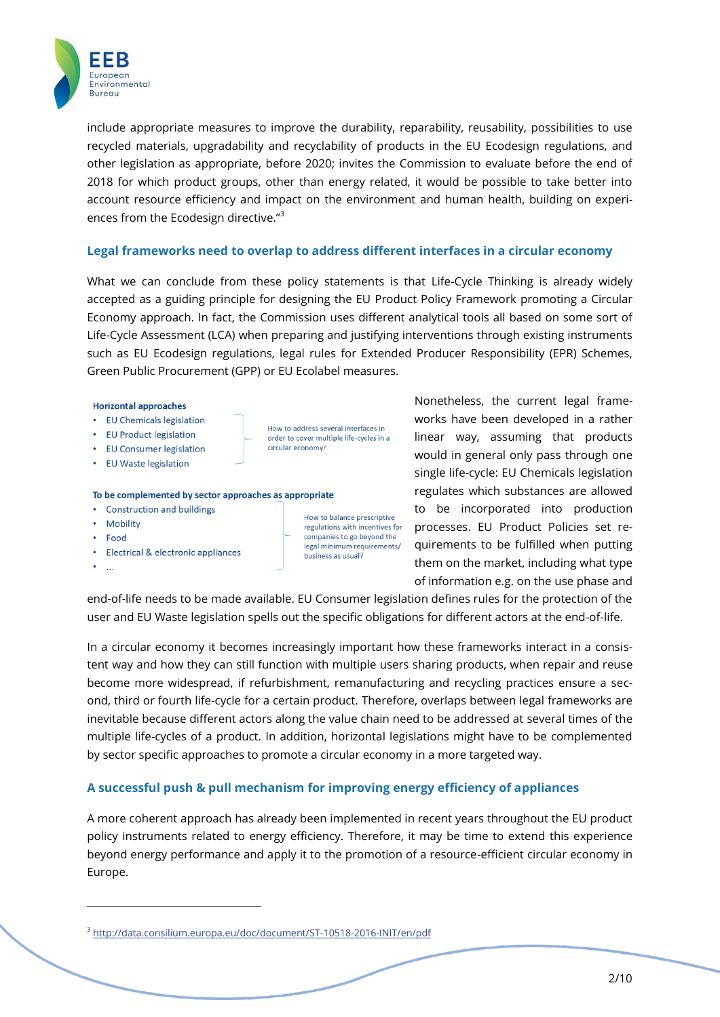

include appropriate measures to improve the durability, reparability, reusability, possibilities to use recycled materials, upgradability and recyclability of products in the EU Ecodesign regulations, and other legislation as appropriate, before 2020; invites the Commission to evaluate before the end of 2018 for which product groups, other than energy related, it would be possible to take better into account resource efficiency and impact on the environment and human health, building on experiences from the Ecodesign directive."<sup>3</sup>

### **Legal frameworks need to overlap to address different interfaces in a circular economy**

What we can conclude from these policy statements is that Life-Cycle Thinking is already widely accepted as a guiding principle for designing the EU Product Policy Framework promoting a Circular Economy approach. In fact, the Commission uses different analytical tools all based on some sort of Life-Cycle Assessment (LCA) when preparing and justifying interventions through existing instruments such as EU Ecodesign regulations, legal rules for Extended Producer Responsibility (EPR) Schemes, Green Public Procurement (GPP) or EU Ecolabel measures.

#### **Horizontal approaches**

- EU Chemicals legislation
- EU Product legislation
- EU Consumer legislation
- EU Waste legislation

### To be complemented by sector approaches as appropriate

- Construction and buildings
- Mobility
- Food
- Electrical & electronic appliances
- $\sim$

-

How to balance prescriptive regulations with incentives for companies to go beyond the legal minimum requirements/ business as usual?

How to address several interfaces in

circular economy?

order to cover multiple life-cycles in a

Nonetheless, the current legal frameworks have been developed in a rather linear way, assuming that products would in general only pass through one single life-cycle: EU Chemicals legislation regulates which substances are allowed to be incorporated into production processes. EU Product Policies set requirements to be fulfilled when putting them on the market, including what type of information e.g. on the use phase and

end-of-life needs to be made available. EU Consumer legislation defines rules for the protection of the user and EU Waste legislation spells out the specific obligations for different actors at the end-of-life.

In a circular economy it becomes increasingly important how these frameworks interact in a consistent way and how they can still function with multiple users sharing products, when repair and reuse become more widespread, if refurbishment, remanufacturing and recycling practices ensure a second, third or fourth life-cycle for a certain product. Therefore, overlaps between legal frameworks are inevitable because different actors along the value chain need to be addressed at several times of the multiple life-cycles of a product. In addition, horizontal legislations might have to be complemented by sector specific approaches to promote a circular economy in a more targeted way.

# **A successful push & pull mechanism for improving energy efficiency of appliances**

A more coherent approach has already been implemented in recent years throughout the EU product policy instruments related to energy efficiency. Therefore, it may be time to extend this experience beyond energy performance and apply it to the promotion of a resource-efficient circular economy in Europe.

<sup>3</sup> <http://data.consilium.europa.eu/doc/document/ST-10518-2016-INIT/en/pdf>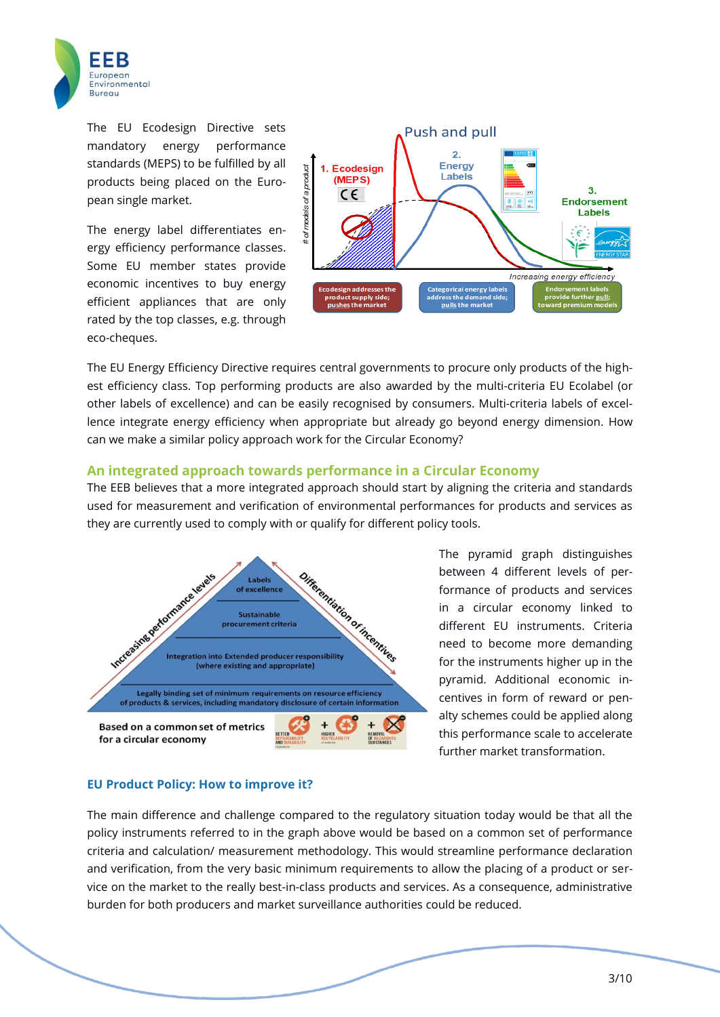

The EU Ecodesign Directive sets mandatory energy performance standards (MEPS) to be fulfilled by all products being placed on the European single market.

The energy label differentiates energy efficiency performance classes. Some EU member states provide economic incentives to buy energy efficient appliances that are only rated by the top classes, e.g. through eco-cheques.



The EU Energy Efficiency Directive requires central governments to procure only products of the highest efficiency class. Top performing products are also awarded by the multi-criteria EU Ecolabel (or other labels of excellence) and can be easily recognised by consumers. Multi-criteria labels of excellence integrate energy efficiency when appropriate but already go beyond energy dimension. How can we make a similar policy approach work for the Circular Economy?

### <span id="page-2-0"></span>**An integrated approach towards performance in a Circular Economy**

they are currently used to comply with or qualify for different policy tools. The EEB believes that a more integrated approach should start by aligning the criteria and standards used for measurement and verification of environmental performances for products and services as



The pyramid graph distinguishes between 4 different levels of performance of products and services in a circular economy linked to different EU instruments. Criteria need to become more demanding for the instruments higher up in the pyramid. Additional economic incentives in form of reward or penalty schemes could be applied along this performance scale to accelerate further market transformation.

### **EU Product Policy: How to improve it?**

The main difference and challenge compared to the regulatory situation today would be that all the policy instruments referred to in the graph above would be based on a common set of performance criteria and calculation/ measurement methodology. This would streamline performance declaration and verification, from the very basic minimum requirements to allow the placing of a product or service on the market to the really best-in-class products and services. As a consequence, administrative burden for both producers and market surveillance authorities could be reduced.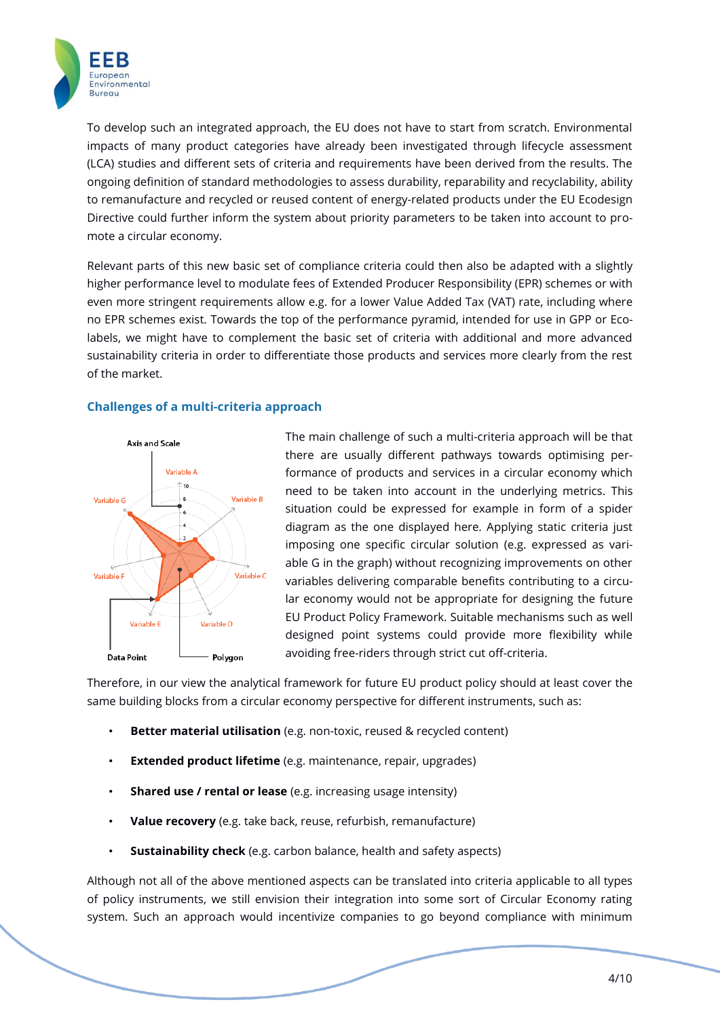

To develop such an integrated approach, the EU does not have to start from scratch. Environmental impacts of many product categories have already been investigated through lifecycle assessment (LCA) studies and different sets of criteria and requirements have been derived from the results. The ongoing definition of standard methodologies to assess durability, reparability and recyclability, ability to remanufacture and recycled or reused content of energy-related products under the EU Ecodesign Directive could further inform the system about priority parameters to be taken into account to promote a circular economy.

Relevant parts of this new basic set of compliance criteria could then also be adapted with a slightly higher performance level to modulate fees of Extended Producer Responsibility (EPR) schemes or with even more stringent requirements allow e.g. for a lower Value Added Tax (VAT) rate, including where no EPR schemes exist. Towards the top of the performance pyramid, intended for use in GPP or Ecolabels, we might have to complement the basic set of criteria with additional and more advanced sustainability criteria in order to differentiate those products and services more clearly from the rest of the market.

### **Challenges of a multi-criteria approach**



diagram as the one displayed here. Applying static criteria just The main challenge of such a multi-criteria approach will be that there are usually different pathways towards optimising performance of products and services in a circular economy which need to be taken into account in the underlying metrics. This situation could be expressed for example in form of a spider imposing one specific circular solution (e.g. expressed as variable G in the graph) without recognizing improvements on other variables delivering comparable benefits contributing to a circular economy would not be appropriate for designing the future EU Product Policy Framework. Suitable mechanisms such as well designed point systems could provide more flexibility while avoiding free-riders through strict cut off-criteria.

Therefore, in our view the analytical framework for future EU product policy should at least cover the same building blocks from a circular economy perspective for different instruments, such as:

- **Better material utilisation** (e.g. non-toxic, reused & recycled content)
- **Extended product lifetime** (e.g. maintenance, repair, upgrades)
- **Shared use / rental or lease** (e.g. increasing usage intensity)
- **Value recovery** (e.g. take back, reuse, refurbish, remanufacture)
- **Sustainability check** (e.g. carbon balance, health and safety aspects)

Although not all of the above mentioned aspects can be translated into criteria applicable to all types of policy instruments, we still envision their integration into some sort of Circular Economy rating system. Such an approach would incentivize companies to go beyond compliance with minimum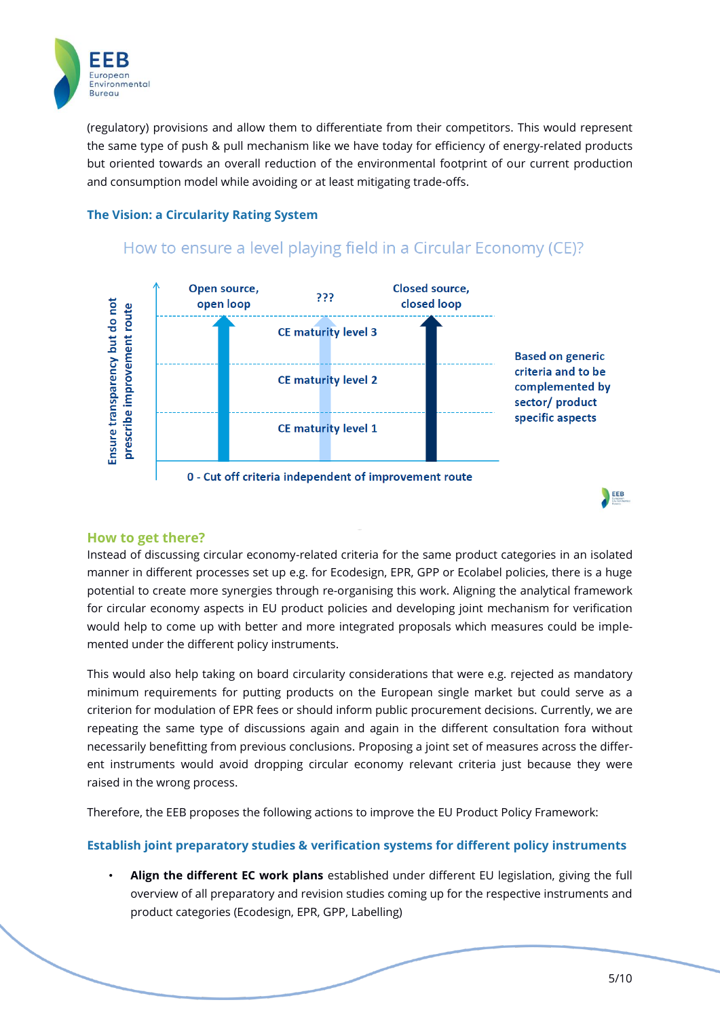

(regulatory) provisions and allow them to differentiate from their competitors. This would represent the same type of push & pull mechanism like we have today for efficiency of energy-related products but oriented towards an overall reduction of the environmental footprint of our current production and consumption model while avoiding or at least mitigating trade-offs.

# **The Vision: a Circularity Rating System**



# How to ensure a level playing field in a Circular Economy (CE)?

# **How to get there?**

Instead of discussing circular economy-related criteria for the same product categories in an isolated manner in different processes set up e.g. for Ecodesign, EPR, GPP or Ecolabel policies, there is a huge potential to create more synergies through re-organising this work. Aligning the analytical framework for circular economy aspects in EU product policies and developing joint mechanism for verification would help to come up with better and more integrated proposals which measures could be implemented under the different policy instruments.

This would also help taking on board circularity considerations that were e.g. rejected as mandatory minimum requirements for putting products on the European single market but could serve as a criterion for modulation of EPR fees or should inform public procurement decisions. Currently, we are repeating the same type of discussions again and again in the different consultation fora without necessarily benefitting from previous conclusions. Proposing a joint set of measures across the different instruments would avoid dropping circular economy relevant criteria just because they were raised in the wrong process.

Therefore, the EEB proposes the following actions to improve the EU Product Policy Framework:

# <span id="page-4-0"></span>**Establish joint preparatory studies & verification systems for different policy instruments**

• **Align the different EC work plans** established under different EU legislation, giving the full overview of all preparatory and revision studies coming up for the respective instruments and product categories (Ecodesign, EPR, GPP, Labelling)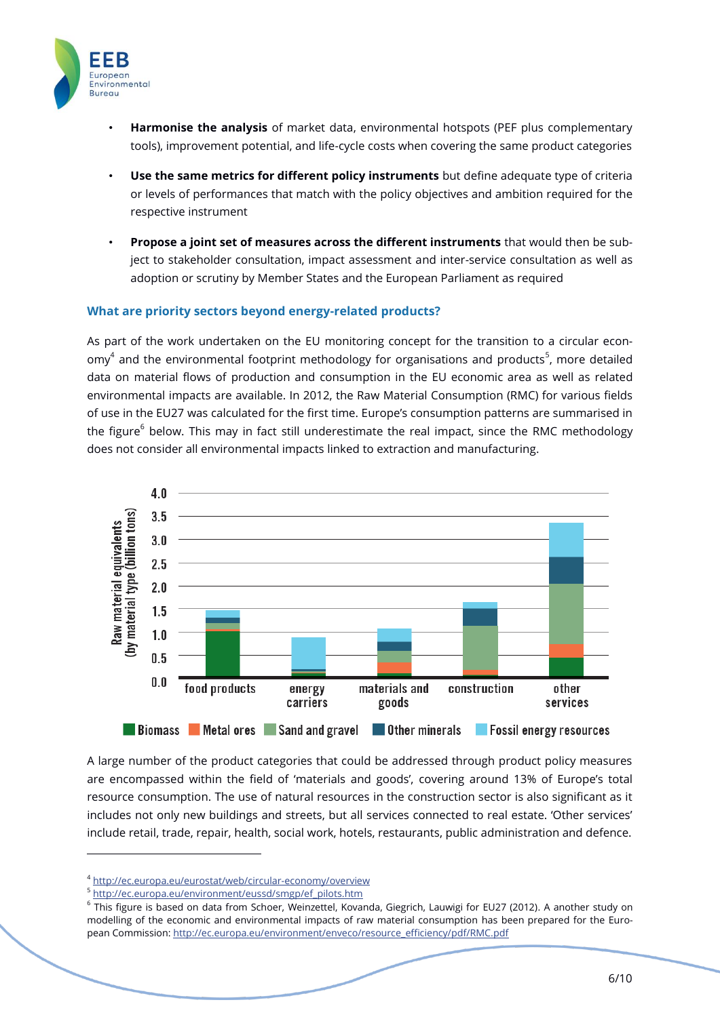

- **Harmonise the analysis** of market data, environmental hotspots (PEF plus complementary tools), improvement potential, and life-cycle costs when covering the same product categories
- **Use the same metrics for different policy instruments** but define adequate type of criteria or levels of performances that match with the policy objectives and ambition required for the respective instrument
- **Propose a joint set of measures across the different instruments** that would then be subject to stakeholder consultation, impact assessment and inter-service consultation as well as adoption or scrutiny by Member States and the European Parliament as required

# **What are priority sectors beyond energy-related products?**

As part of the work undertaken on the EU monitoring concept for the transition to a circular econ- $\text{omy}^4$  and the environmental footprint methodology for organisations and products<sup>5</sup>, more detailed data on material flows of production and consumption in the EU economic area as well as related environmental impacts are available. In 2012, the Raw Material Consumption (RMC) for various fields of use in the EU27 was calculated for the first time. Europe's consumption patterns are summarised in the figure<sup>6</sup> below. This may in fact still underestimate the real impact, since the RMC methodology does not consider all environmental impacts linked to extraction and manufacturing.



A large number of the product categories that could be addressed through product policy measures are encompassed within the field of 'materials and goods', covering around 13% of Europe's total resource consumption. The use of natural resources in the construction sector is also significant as it includes not only new buildings and streets, but all services connected to real estate. 'Other services' include retail, trade, repair, health, social work, hotels, restaurants, public administration and defence.

-

<sup>4</sup> <http://ec.europa.eu/eurostat/web/circular-economy/overview>

<sup>5</sup> [http://ec.europa.eu/environment/eussd/smgp/ef\\_pilots.htm](http://ec.europa.eu/environment/eussd/smgp/ef_pilots.htm)

<sup>&</sup>lt;sup>6</sup> This figure is based on data from Schoer, Weinzettel, Kovanda, Giegrich, Lauwigi for EU27 (2012). A another study on modelling of the economic and environmental impacts of raw material consumption has been prepared for the European Commission[: http://ec.europa.eu/environment/enveco/resource\\_efficiency/pdf/RMC.pdf](http://ec.europa.eu/environment/enveco/resource_efficiency/pdf/RMC.pdf)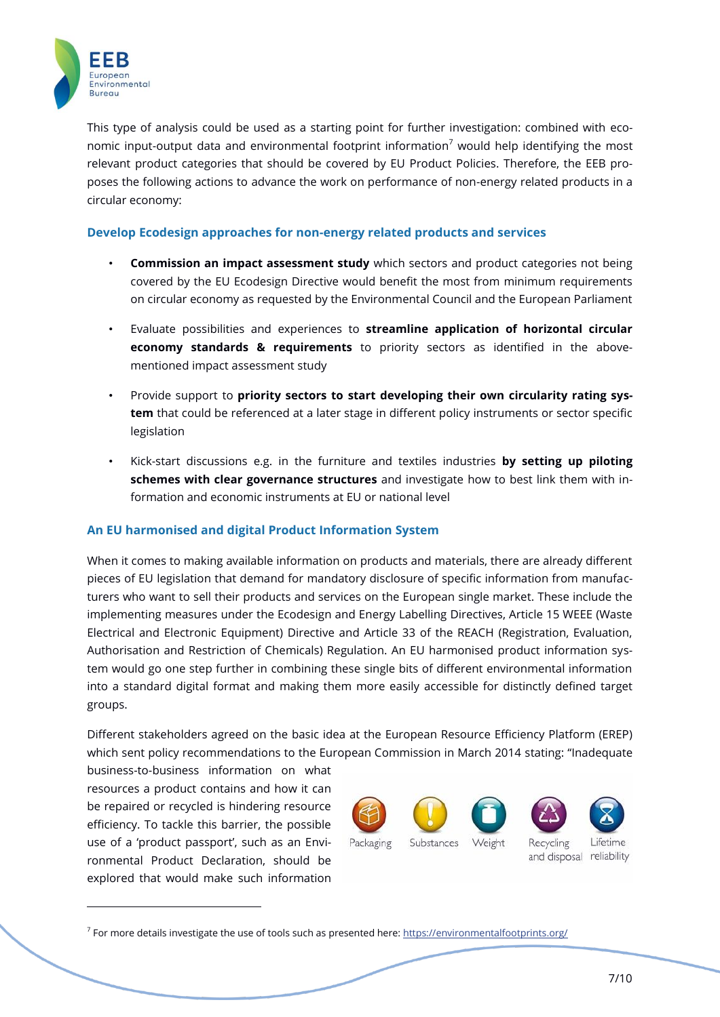

This type of analysis could be used as a starting point for further investigation: combined with economic input-output data and environmental footprint information<sup>7</sup> would help identifying the most relevant product categories that should be covered by EU Product Policies. Therefore, the EEB proposes the following actions to advance the work on performance of non-energy related products in a circular economy:

## <span id="page-6-0"></span>**Develop Ecodesign approaches for non-energy related products and services**

- **Commission an impact assessment study** which sectors and product categories not being covered by the EU Ecodesign Directive would benefit the most from minimum requirements on circular economy as requested by the Environmental Council and the European Parliament
- Evaluate possibilities and experiences to **streamline application of horizontal circular economy standards & requirements** to priority sectors as identified in the abovementioned impact assessment study
- Provide support to **priority sectors to start developing their own circularity rating system** that could be referenced at a later stage in different policy instruments or sector specific legislation
- Kick-start discussions e.g. in the furniture and textiles industries **by setting up piloting schemes with clear governance structures** and investigate how to best link them with information and economic instruments at EU or national level

# <span id="page-6-1"></span>**An EU harmonised and digital Product Information System**

When it comes to making available information on products and materials, there are already different pieces of EU legislation that demand for mandatory disclosure of specific information from manufacturers who want to sell their products and services on the European single market. These include the implementing measures under the Ecodesign and Energy Labelling Directives, Article 15 WEEE (Waste Electrical and Electronic Equipment) Directive and Article 33 of the REACH (Registration, Evaluation, Authorisation and Restriction of Chemicals) Regulation. An EU harmonised product information system would go one step further in combining these single bits of different environmental information into a standard digital format and making them more easily accessible for distinctly defined target groups.

Different stakeholders agreed on the basic idea at the European Resource Efficiency Platform (EREP) which sent policy recommendations to the European Commission in March 2014 stating: "Inadequate

business-to-business information on what resources a product contains and how it can be repaired or recycled is hindering resource efficiency. To tackle this barrier, the possible use of a 'product passport', such as an Environmental Product Declaration, should be explored that would make such information

-



<sup>7</sup> For more details investigate the use of tools such as presented here: <https://environmentalfootprints.org/>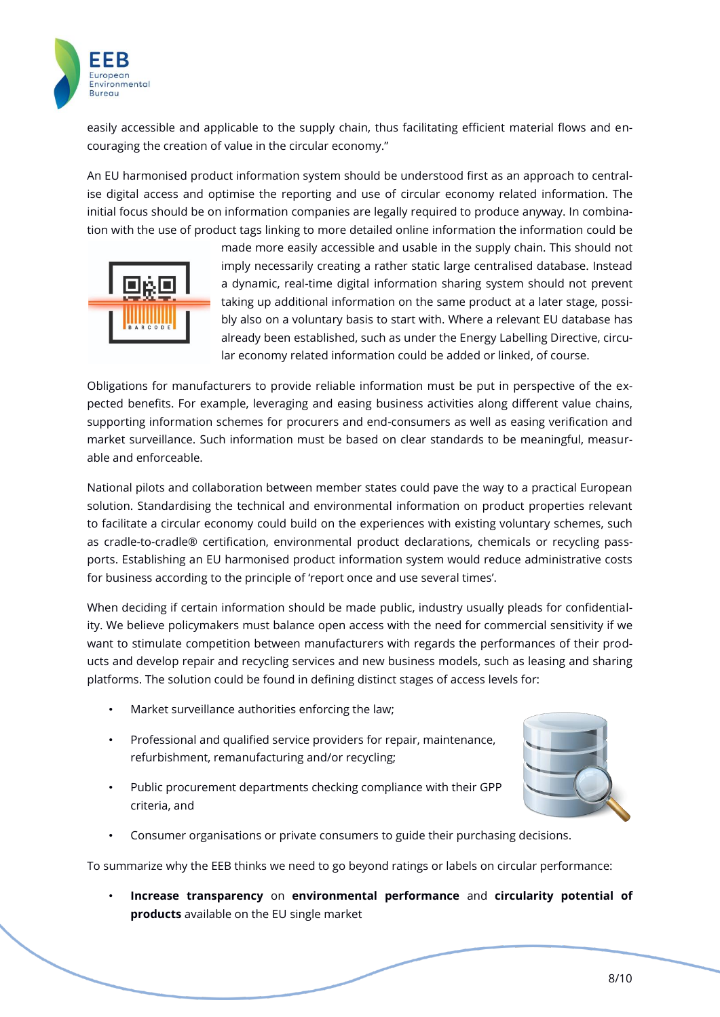

easily accessible and applicable to the supply chain, thus facilitating efficient material flows and encouraging the creation of value in the circular economy."

An EU harmonised product information system should be understood first as an approach to centralise digital access and optimise the reporting and use of circular economy related information. The initial focus should be on information companies are legally required to produce anyway. In combination with the use of product tags linking to more detailed online information the information could be



made more easily accessible and usable in the supply chain. This should not imply necessarily creating a rather static large centralised database. Instead a dynamic, real-time digital information sharing system should not prevent taking up additional information on the same product at a later stage, possibly also on a voluntary basis to start with. Where a relevant EU database has already been established, such as under the Energy Labelling Directive, circular economy related information could be added or linked, of course.

Obligations for manufacturers to provide reliable information must be put in perspective of the expected benefits. For example, leveraging and easing business activities along different value chains, supporting information schemes for procurers and end-consumers as well as easing verification and market surveillance. Such information must be based on clear standards to be meaningful, measurable and enforceable.

to facilitate a circular economy could build on the experiences with existing voluntary schemes, such National pilots and collaboration between member states could pave the way to a practical European solution. Standardising the technical and environmental information on product properties relevant as cradle-to-cradle® certification, environmental product declarations, chemicals or recycling passports. Establishing an EU harmonised product information system would reduce administrative costs for business according to the principle of 'report once and use several times'.

When deciding if certain information should be made public, industry usually pleads for confidentiality. We believe policymakers must balance open access with the need for commercial sensitivity if we want to stimulate competition between manufacturers with regards the performances of their products and develop repair and recycling services and new business models, such as leasing and sharing platforms. The solution could be found in defining distinct stages of access levels for:

- Market surveillance authorities enforcing the law;
- Professional and qualified service providers for repair, maintenance, refurbishment, remanufacturing and/or recycling;
- Public procurement departments checking compliance with their GPP criteria, and



• Consumer organisations or private consumers to guide their purchasing decisions.

To summarize why the EEB thinks we need to go beyond ratings or labels on circular performance:

• **Increase transparency** on **environmental performance** and **circularity potential of products** available on the EU single market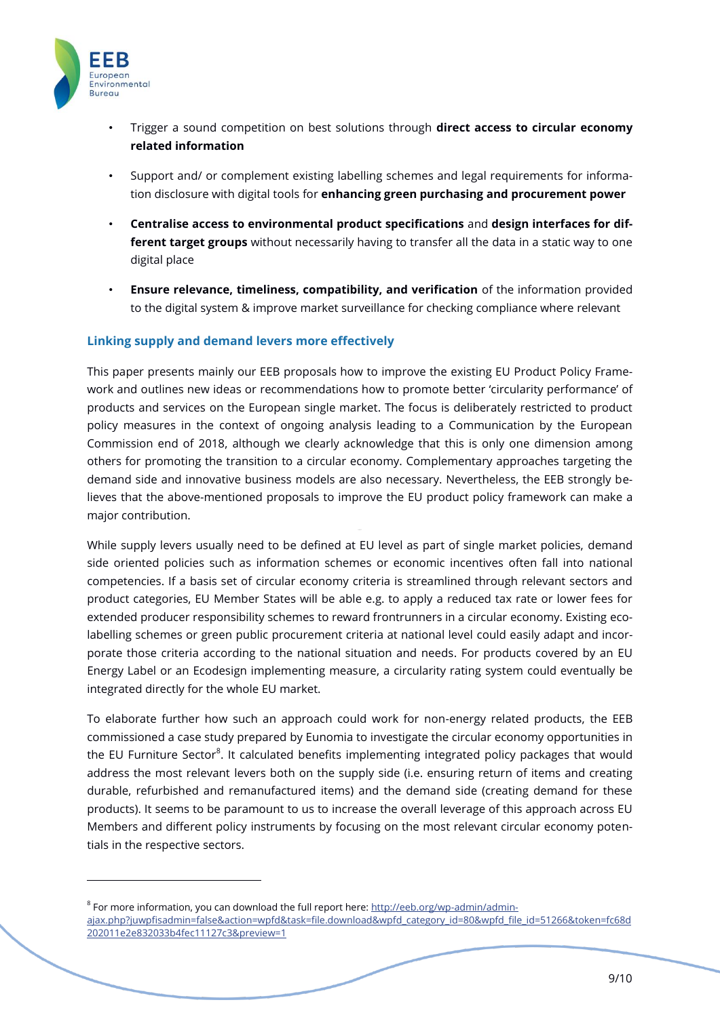

 $\overline{a}$ 

- Trigger a sound competition on best solutions through **direct access to circular economy related information**
- Support and/ or complement existing labelling schemes and legal requirements for information disclosure with digital tools for **enhancing green purchasing and procurement power**
- **Centralise access to environmental product specifications** and **design interfaces for different target groups** without necessarily having to transfer all the data in a static way to one digital place
- **Ensure relevance, timeliness, compatibility, and verification** of the information provided to the digital system & improve market surveillance for checking compliance where relevant

### <span id="page-8-0"></span>**Linking supply and demand levers more effectively**

This paper presents mainly our EEB proposals how to improve the existing EU Product Policy Framework and outlines new ideas or recommendations how to promote better 'circularity performance' of products and services on the European single market. The focus is deliberately restricted to product policy measures in the context of ongoing analysis leading to a Communication by the European Commission end of 2018, although we clearly acknowledge that this is only one dimension among others for promoting the transition to a circular economy. Complementary approaches targeting the demand side and innovative business models are also necessary. Nevertheless, the EEB strongly believes that the above-mentioned proposals to improve the EU product policy framework can make a major contribution.

While supply levers usually need to be defined at EU level as part of single market policies, demand side oriented policies such as information schemes or economic incentives often fall into national competencies. If a basis set of circular economy criteria is streamlined through relevant sectors and product categories, EU Member States will be able e.g. to apply a reduced tax rate or lower fees for extended producer responsibility schemes to reward frontrunners in a circular economy. Existing ecolabelling schemes or green public procurement criteria at national level could easily adapt and incorporate those criteria according to the national situation and needs. For products covered by an EU Energy Label or an Ecodesign implementing measure, a circularity rating system could eventually be integrated directly for the whole EU market.

To elaborate further how such an approach could work for non-energy related products, the EEB commissioned a case study prepared by Eunomia to investigate the circular economy opportunities in the EU Furniture Sector<sup>8</sup>. It calculated benefits implementing integrated policy packages that would address the most relevant levers both on the supply side (i.e. ensuring return of items and creating durable, refurbished and remanufactured items) and the demand side (creating demand for these products). It seems to be paramount to us to increase the overall leverage of this approach across EU Members and different policy instruments by focusing on the most relevant circular economy potentials in the respective sectors.

 $8$  For more information, you can download the full report here: [http://eeb.org/wp-admin/admin](http://eeb.org/wp-admin/admin-ajax.php?juwpfisadmin=false&action=wpfd&task=file.download&wpfd_category_id=80&wpfd_file_id=51266&token=fc68d202011e2e832033b4fec11127c3&preview=1)[ajax.php?juwpfisadmin=false&action=wpfd&task=file.download&wpfd\\_category\\_id=80&wpfd\\_file\\_id=51266&token=fc68d](http://eeb.org/wp-admin/admin-ajax.php?juwpfisadmin=false&action=wpfd&task=file.download&wpfd_category_id=80&wpfd_file_id=51266&token=fc68d202011e2e832033b4fec11127c3&preview=1) [202011e2e832033b4fec11127c3&preview=1](http://eeb.org/wp-admin/admin-ajax.php?juwpfisadmin=false&action=wpfd&task=file.download&wpfd_category_id=80&wpfd_file_id=51266&token=fc68d202011e2e832033b4fec11127c3&preview=1)